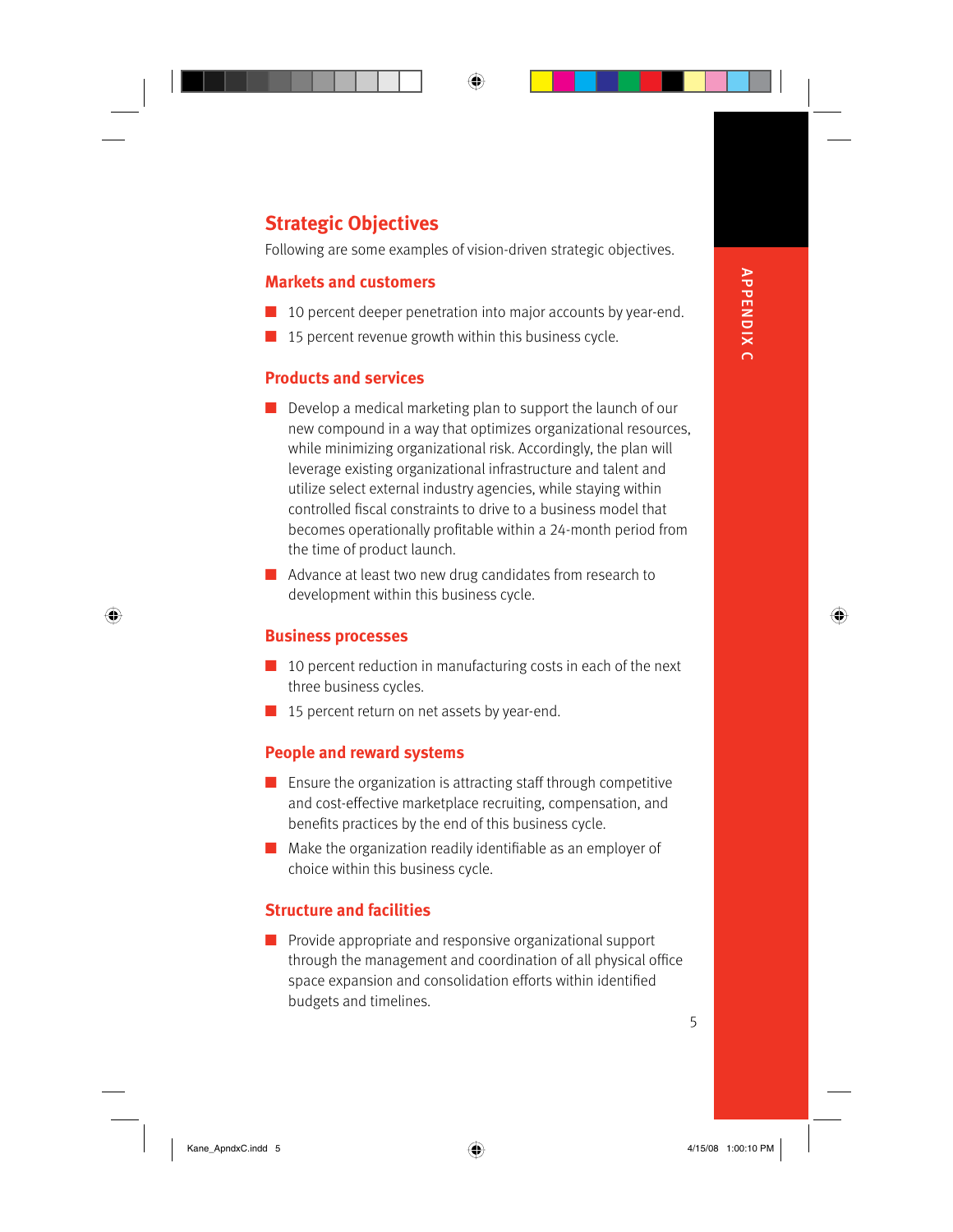# **Strategic Objectives**

Following are some examples of vision-driven strategic objectives.

⊕

## **Markets and customers**

- 10 percent deeper penetration into major accounts by year-end.
- 15 percent revenue growth within this business cycle.

## **Products and services**

- Develop a medical marketing plan to support the launch of our new compound in a way that optimizes organizational resources, while minimizing organizational risk. Accordingly, the plan will leverage existing organizational infrastructure and talent and utilize select external industry agencies, while staying within controlled fiscal constraints to drive to a business model that becomes operationally profitable within a 24-month period from the time of product launch.
- Advance at least two new drug candidates from research to development within this business cycle.

### **Business processes**

 $\bigcirc$ 

- 10 percent reduction in manufacturing costs in each of the next three business cycles.
- 15 percent return on net assets by year-end.

#### **People and reward systems**

- Ensure the organization is attracting staff through competitive and cost-effective marketplace recruiting, compensation, and benefits practices by the end of this business cycle.
- Make the organization readily identifiable as an employer of choice within this business cycle.

# **Structure and facilities**

■ Provide appropriate and responsive organizational support through the management and coordination of all physical office space expansion and consolidation efforts within identified budgets and timelines.